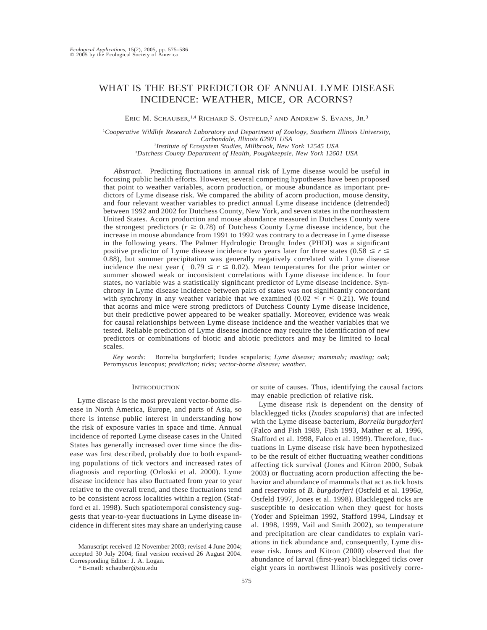# WHAT IS THE BEST PREDICTOR OF ANNUAL LYME DISEASE INCIDENCE: WEATHER, MICE, OR ACORNS?

ERIC M. SCHAUBER,<sup>1,4</sup> RICHARD S. OSTFELD,<sup>2</sup> AND ANDREW S. EVANS, JR.<sup>3</sup>

 *Cooperative Wildlife Research Laboratory and Department of Zoology, Southern Illinois University, Carbondale, Illinois 62901 USA Institute of Ecosystem Studies, Millbrook, New York 12545 USA Dutchess County Department of Health, Poughkeepsie, New York 12601 USA*

*Abstract.* Predicting fluctuations in annual risk of Lyme disease would be useful in focusing public health efforts. However, several competing hypotheses have been proposed that point to weather variables, acorn production, or mouse abundance as important predictors of Lyme disease risk. We compared the ability of acorn production, mouse density, and four relevant weather variables to predict annual Lyme disease incidence (detrended) between 1992 and 2002 for Dutchess County, New York, and seven states in the northeastern United States. Acorn production and mouse abundance measured in Dutchess County were the strongest predictors ( $r \ge 0.78$ ) of Dutchess County Lyme disease incidence, but the increase in mouse abundance from 1991 to 1992 was contrary to a decrease in Lyme disease in the following years. The Palmer Hydrologic Drought Index (PHDI) was a significant positive predictor of Lyme disease incidence two years later for three states ( $0.58 \le r \le$ 0.88), but summer precipitation was generally negatively correlated with Lyme disease incidence the next year  $(-0.79 \le r \le 0.02)$ . Mean temperatures for the prior winter or summer showed weak or inconsistent correlations with Lyme disease incidence. In four states, no variable was a statistically significant predictor of Lyme disease incidence. Synchrony in Lyme disease incidence between pairs of states was not significantly concordant with synchrony in any weather variable that we examined  $(0.02 \le r \le 0.21)$ . We found that acorns and mice were strong predictors of Dutchess County Lyme disease incidence, but their predictive power appeared to be weaker spatially. Moreover, evidence was weak for causal relationships between Lyme disease incidence and the weather variables that we tested. Reliable prediction of Lyme disease incidence may require the identification of new predictors or combinations of biotic and abiotic predictors and may be limited to local scales.

*Key words:* Borrelia burgdorferi; Ixodes scapularis; *Lyme disease; mammals; masting; oak;* Peromyscus leucopus; *prediction; ticks; vector-borne disease; weather.*

### **INTRODUCTION**

Lyme disease is the most prevalent vector-borne disease in North America, Europe, and parts of Asia, so there is intense public interest in understanding how the risk of exposure varies in space and time. Annual incidence of reported Lyme disease cases in the United States has generally increased over time since the disease was first described, probably due to both expanding populations of tick vectors and increased rates of diagnosis and reporting (Orloski et al. 2000). Lyme disease incidence has also fluctuated from year to year relative to the overall trend, and these fluctuations tend to be consistent across localities within a region (Stafford et al. 1998). Such spatiotemporal consistency suggests that year-to-year fluctuations in Lyme disease incidence in different sites may share an underlying cause

Manuscript received 12 November 2003; revised 4 June 2004; accepted 30 July 2004; final version received 26 August 2004. Corresponding Editor: J. A. Logan.

<sup>4</sup> E-mail: schauber@siu.edu

or suite of causes. Thus, identifying the causal factors may enable prediction of relative risk.

Lyme disease risk is dependent on the density of blacklegged ticks (*Ixodes scapularis*) that are infected with the Lyme disease bacterium, *Borrelia burgdorferi* (Falco and Fish 1989, Fish 1993, Mather et al. 1996, Stafford et al. 1998, Falco et al. 1999). Therefore, fluctuations in Lyme disease risk have been hypothesized to be the result of either fluctuating weather conditions affecting tick survival (Jones and Kitron 2000, Subak 2003) or fluctuating acorn production affecting the behavior and abundance of mammals that act as tick hosts and reservoirs of *B. burgdorferi* (Ostfeld et al. 1996*a*, Ostfeld 1997, Jones et al. 1998). Blacklegged ticks are susceptible to desiccation when they quest for hosts (Yoder and Spielman 1992, Stafford 1994, Lindsay et al. 1998, 1999, Vail and Smith 2002), so temperature and precipitation are clear candidates to explain variations in tick abundance and, consequently, Lyme disease risk. Jones and Kitron (2000) observed that the abundance of larval (first-year) blacklegged ticks over eight years in northwest Illinois was positively corre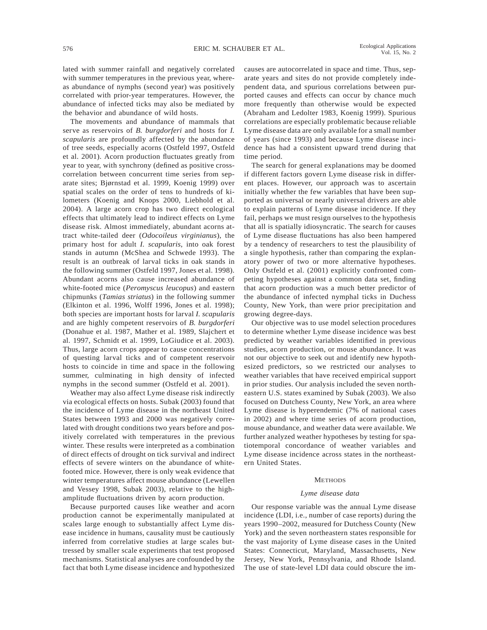lated with summer rainfall and negatively correlated with summer temperatures in the previous year, whereas abundance of nymphs (second year) was positively correlated with prior-year temperatures. However, the abundance of infected ticks may also be mediated by the behavior and abundance of wild hosts.

The movements and abundance of mammals that serve as reservoirs of *B. burgdorferi* and hosts for *I. scapularis* are profoundly affected by the abundance of tree seeds, especially acorns (Ostfeld 1997, Ostfeld et al. 2001). Acorn production fluctuates greatly from year to year, with synchrony (defined as positive crosscorrelation between concurrent time series from separate sites; Bjørnstad et al. 1999, Koenig 1999) over spatial scales on the order of tens to hundreds of kilometers (Koenig and Knops 2000, Liebhold et al. 2004). A large acorn crop has two direct ecological effects that ultimately lead to indirect effects on Lyme disease risk. Almost immediately, abundant acorns attract white-tailed deer (*Odocoileus virginianus*), the primary host for adult *I. scapularis*, into oak forest stands in autumn (McShea and Schwede 1993). The result is an outbreak of larval ticks in oak stands in the following summer (Ostfeld 1997, Jones et al. 1998). Abundant acorns also cause increased abundance of white-footed mice (*Peromyscus leucopus*) and eastern chipmunks (*Tamias striatus*) in the following summer (Elkinton et al. 1996, Wolff 1996, Jones et al. 1998); both species are important hosts for larval *I. scapularis* and are highly competent reservoirs of *B. burgdorferi* (Donahue et al. 1987, Mather et al. 1989, Slajchert et al. 1997, Schmidt et al. 1999, LoGiudice et al. 2003). Thus, large acorn crops appear to cause concentrations of questing larval ticks and of competent reservoir hosts to coincide in time and space in the following summer, culminating in high density of infected nymphs in the second summer (Ostfeld et al. 2001).

Weather may also affect Lyme disease risk indirectly via ecological effects on hosts. Subak (2003) found that the incidence of Lyme disease in the northeast United States between 1993 and 2000 was negatively correlated with drought conditions two years before and positively correlated with temperatures in the previous winter. These results were interpreted as a combination of direct effects of drought on tick survival and indirect effects of severe winters on the abundance of whitefooted mice. However, there is only weak evidence that winter temperatures affect mouse abundance (Lewellen and Vessey 1998, Subak 2003), relative to the highamplitude fluctuations driven by acorn production.

Because purported causes like weather and acorn production cannot be experimentally manipulated at scales large enough to substantially affect Lyme disease incidence in humans, causality must be cautiously inferred from correlative studies at large scales buttressed by smaller scale experiments that test proposed mechanisms. Statistical analyses are confounded by the fact that both Lyme disease incidence and hypothesized causes are autocorrelated in space and time. Thus, separate years and sites do not provide completely independent data, and spurious correlations between purported causes and effects can occur by chance much more frequently than otherwise would be expected (Abraham and Ledolter 1983, Koenig 1999). Spurious correlations are especially problematic because reliable Lyme disease data are only available for a small number of years (since 1993) and because Lyme disease incidence has had a consistent upward trend during that time period.

The search for general explanations may be doomed if different factors govern Lyme disease risk in different places. However, our approach was to ascertain initially whether the few variables that have been supported as universal or nearly universal drivers are able to explain patterns of Lyme disease incidence. If they fail, perhaps we must resign ourselves to the hypothesis that all is spatially idiosyncratic. The search for causes of Lyme disease fluctuations has also been hampered by a tendency of researchers to test the plausibility of a single hypothesis, rather than comparing the explanatory power of two or more alternative hypotheses. Only Ostfeld et al. (2001) explicitly confronted competing hypotheses against a common data set, finding that acorn production was a much better predictor of the abundance of infected nymphal ticks in Duchess County, New York, than were prior precipitation and growing degree-days.

Our objective was to use model selection procedures to determine whether Lyme disease incidence was best predicted by weather variables identified in previous studies, acorn production, or mouse abundance. It was not our objective to seek out and identify new hypothesized predictors, so we restricted our analyses to weather variables that have received empirical support in prior studies. Our analysis included the seven northeastern U.S. states examined by Subak (2003). We also focused on Dutchess County, New York, an area where Lyme disease is hyperendemic (7% of national cases in 2002) and where time series of acorn production, mouse abundance, and weather data were available. We further analyzed weather hypotheses by testing for spatiotemporal concordance of weather variables and Lyme disease incidence across states in the northeastern United States.

### **METHODS**

### *Lyme disease data*

Our response variable was the annual Lyme disease incidence (LDI, i.e., number of case reports) during the years 1990–2002, measured for Dutchess County (New York) and the seven northeastern states responsible for the vast majority of Lyme disease cases in the United States: Connecticut, Maryland, Massachusetts, New Jersey, New York, Pennsylvania, and Rhode Island. The use of state-level LDI data could obscure the im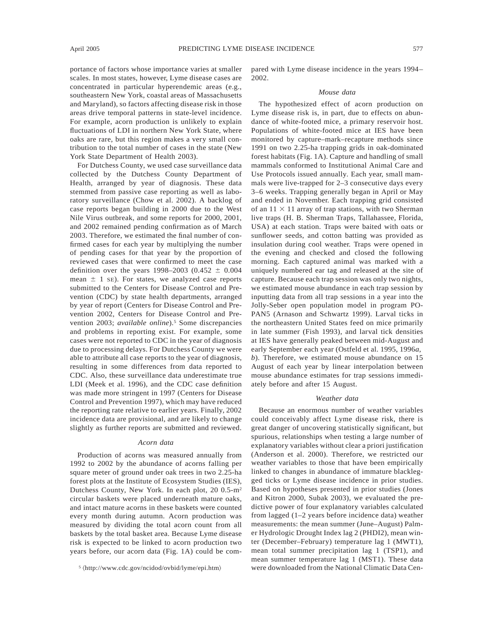portance of factors whose importance varies at smaller scales. In most states, however, Lyme disease cases are concentrated in particular hyperendemic areas (e.g., southeastern New York, coastal areas of Massachusetts and Maryland), so factors affecting disease risk in those areas drive temporal patterns in state-level incidence. For example, acorn production is unlikely to explain fluctuations of LDI in northern New York State, where oaks are rare, but this region makes a very small contribution to the total number of cases in the state (New York State Department of Health 2003).

For Dutchess County, we used case surveillance data collected by the Dutchess County Department of Health, arranged by year of diagnosis. These data stemmed from passive case reporting as well as laboratory surveillance (Chow et al. 2002). A backlog of case reports began building in 2000 due to the West Nile Virus outbreak, and some reports for 2000, 2001, and 2002 remained pending confirmation as of March 2003. Therefore, we estimated the final number of confirmed cases for each year by multiplying the number of pending cases for that year by the proportion of reviewed cases that were confirmed to meet the case definition over the years 1998–2003 (0.452  $\pm$  0.004 mean  $\pm$  1 se). For states, we analyzed case reports submitted to the Centers for Disease Control and Prevention (CDC) by state health departments, arranged by year of report (Centers for Disease Control and Prevention 2002, Centers for Disease Control and Prevention 2003; *available online*).<sup>5</sup> Some discrepancies and problems in reporting exist. For example, some cases were not reported to CDC in the year of diagnosis due to processing delays. For Dutchess County we were able to attribute all case reports to the year of diagnosis, resulting in some differences from data reported to CDC. Also, these surveillance data underestimate true LDI (Meek et al. 1996), and the CDC case definition was made more stringent in 1997 (Centers for Disease Control and Prevention 1997), which may have reduced the reporting rate relative to earlier years. Finally, 2002 incidence data are provisional, and are likely to change slightly as further reports are submitted and reviewed.

### *Acorn data*

Production of acorns was measured annually from 1992 to 2002 by the abundance of acorns falling per square meter of ground under oak trees in two 2.25-ha forest plots at the Institute of Ecosystem Studies (IES), Dutchess County, New York. In each plot, 20 0.5-m2 circular baskets were placed underneath mature oaks, and intact mature acorns in these baskets were counted every month during autumn. Acorn production was measured by dividing the total acorn count from all baskets by the total basket area. Because Lyme disease risk is expected to be linked to acorn production two years before, our acorn data (Fig. 1A) could be com-

5  $\langle$ http://www.cdc.gov/ncidod/ovbid/lyme/epi.htm $\rangle$ 

pared with Lyme disease incidence in the years 1994– 2002.

# *Mouse data*

The hypothesized effect of acorn production on Lyme disease risk is, in part, due to effects on abundance of white-footed mice, a primary reservoir host. Populations of white-footed mice at IES have been monitored by capture–mark–recapture methods since 1991 on two 2.25-ha trapping grids in oak-dominated forest habitats (Fig. 1A). Capture and handling of small mammals conformed to Institutional Animal Care and Use Protocols issued annually. Each year, small mammals were live-trapped for 2–3 consecutive days every 3–6 weeks. Trapping generally began in April or May and ended in November. Each trapping grid consisted of an  $11 \times 11$  array of trap stations, with two Sherman live traps (H. B. Sherman Traps, Tallahassee, Florida, USA) at each station. Traps were baited with oats or sunflower seeds, and cotton batting was provided as insulation during cool weather. Traps were opened in the evening and checked and closed the following morning. Each captured animal was marked with a uniquely numbered ear tag and released at the site of capture. Because each trap session was only two nights, we estimated mouse abundance in each trap session by inputting data from all trap sessions in a year into the Jolly-Seber open population model in program PO-PAN5 (Arnason and Schwartz 1999). Larval ticks in the northeastern United States feed on mice primarily in late summer (Fish 1993), and larval tick densities at IES have generally peaked between mid-August and early September each year (Ostfeld et al. 1995, 1996*a*, *b*). Therefore, we estimated mouse abundance on 15 August of each year by linear interpolation between mouse abundance estimates for trap sessions immediately before and after 15 August.

#### *Weather data*

Because an enormous number of weather variables could conceivably affect Lyme disease risk, there is great danger of uncovering statistically significant, but spurious, relationships when testing a large number of explanatory variables without clear a priori justification (Anderson et al. 2000). Therefore, we restricted our weather variables to those that have been empirically linked to changes in abundance of immature blacklegged ticks or Lyme disease incidence in prior studies. Based on hypotheses presented in prior studies (Jones and Kitron 2000, Subak 2003), we evaluated the predictive power of four explanatory variables calculated from lagged (1–2 years before incidence data) weather measurements: the mean summer (June–August) Palmer Hydrologic Drought Index lag 2 (PHDI2), mean winter (December–February) temperature lag 1 (MWT1), mean total summer precipitation lag 1 (TSP1), and mean summer temperature lag 1 (MST1). These data were downloaded from the National Climatic Data Cen-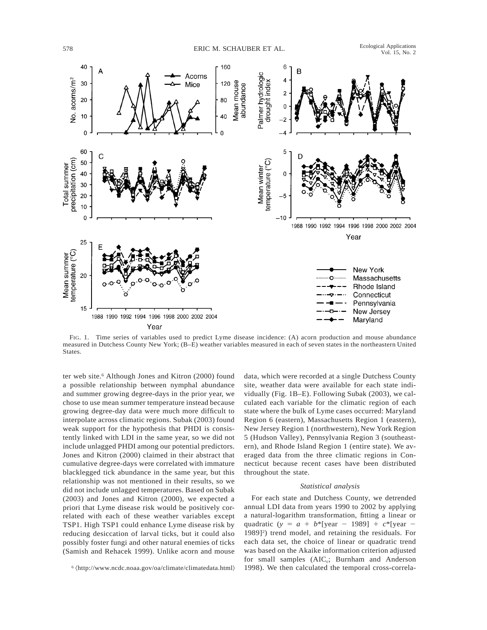

FIG. 1. Time series of variables used to predict Lyme disease incidence: (A) acorn production and mouse abundance measured in Dutchess County New York; (B–E) weather variables measured in each of seven states in the northeastern United States.

ter web site.<sup>6</sup> Although Jones and Kitron (2000) found a possible relationship between nymphal abundance and summer growing degree-days in the prior year, we chose to use mean summer temperature instead because growing degree-day data were much more difficult to interpolate across climatic regions. Subak (2003) found weak support for the hypothesis that PHDI is consistently linked with LDI in the same year, so we did not include unlagged PHDI among our potential predictors. Jones and Kitron (2000) claimed in their abstract that cumulative degree-days were correlated with immature blacklegged tick abundance in the same year, but this relationship was not mentioned in their results, so we did not include unlagged temperatures. Based on Subak (2003) and Jones and Kitron (2000), we expected a priori that Lyme disease risk would be positively correlated with each of these weather variables except TSP1. High TSP1 could enhance Lyme disease risk by reducing desiccation of larval ticks, but it could also possibly foster fungi and other natural enemies of ticks (Samish and Rehacek 1999). Unlike acorn and mouse data, which were recorded at a single Dutchess County site, weather data were available for each state individually (Fig. 1B–E). Following Subak (2003), we calculated each variable for the climatic region of each state where the bulk of Lyme cases occurred: Maryland Region 6 (eastern), Massachusetts Region 1 (eastern), New Jersey Region 1 (northwestern), New York Region 5 (Hudson Valley), Pennsylvania Region 3 (southeastern), and Rhode Island Region 1 (entire state). We averaged data from the three climatic regions in Connecticut because recent cases have been distributed throughout the state.

### *Statistical analysis*

For each state and Dutchess County, we detrended annual LDI data from years 1990 to 2002 by applying a natural-logarithm transformation, fitting a linear or quadratic ( $y = a + b$ \*[year - 1989] +  $c$ \*[year -1989]<sup>2</sup>) trend model, and retaining the residuals. For each data set, the choice of linear or quadratic trend was based on the Akaike information criterion adjusted for small samples (AIC<sub>c</sub>; Burnham and Anderson 1998). We then calculated the temporal cross-correla-

 $6 \langle http://www.ncdc.noaa.gov/oa/climate/climatedata.html \rangle$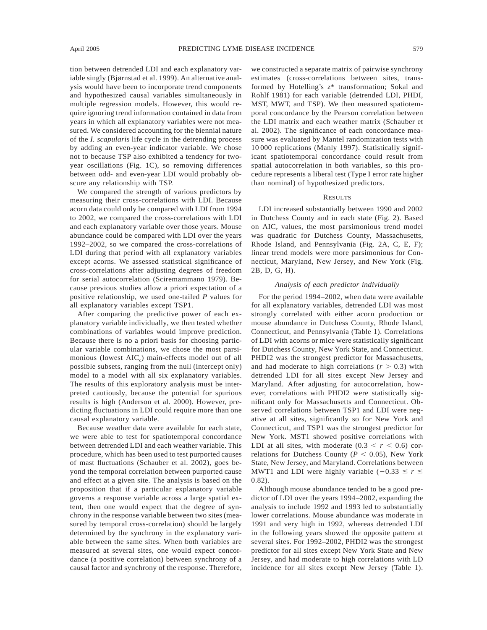tion between detrended LDI and each explanatory variable singly (Bjørnstad et al. 1999). An alternative analysis would have been to incorporate trend components and hypothesized causal variables simultaneously in multiple regression models. However, this would require ignoring trend information contained in data from years in which all explanatory variables were not measured. We considered accounting for the biennial nature of the *I. scapularis* life cycle in the detrending process by adding an even-year indicator variable. We chose not to because TSP also exhibited a tendency for twoyear oscillations (Fig. 1C), so removing differences between odd- and even-year LDI would probably obscure any relationship with TSP.

We compared the strength of various predictors by measuring their cross-correlations with LDI. Because acorn data could only be compared with LDI from 1994 to 2002, we compared the cross-correlations with LDI and each explanatory variable over those years. Mouse abundance could be compared with LDI over the years 1992–2002, so we compared the cross-correlations of LDI during that period with all explanatory variables except acorns. We assessed statistical significance of cross-correlations after adjusting degrees of freedom for serial autocorrelation (Sciremammano 1979). Because previous studies allow a priori expectation of a positive relationship, we used one-tailed *P* values for all explanatory variables except TSP1.

After comparing the predictive power of each explanatory variable individually, we then tested whether combinations of variables would improve prediction. Because there is no a priori basis for choosing particular variable combinations, we chose the most parsimonious (lowest  $AIC<sub>c</sub>$ ) main-effects model out of all possible subsets, ranging from the null (intercept only) model to a model with all six explanatory variables. The results of this exploratory analysis must be interpreted cautiously, because the potential for spurious results is high (Anderson et al. 2000). However, predicting fluctuations in LDI could require more than one causal explanatory variable.

Because weather data were available for each state, we were able to test for spatiotemporal concordance between detrended LDI and each weather variable. This procedure, which has been used to test purported causes of mast fluctuations (Schauber et al. 2002), goes beyond the temporal correlation between purported cause and effect at a given site. The analysis is based on the proposition that if a particular explanatory variable governs a response variable across a large spatial extent, then one would expect that the degree of synchrony in the response variable between two sites (measured by temporal cross-correlation) should be largely determined by the synchrony in the explanatory variable between the same sites. When both variables are measured at several sites, one would expect concordance (a positive correlation) between synchrony of a causal factor and synchrony of the response. Therefore,

we constructed a separate matrix of pairwise synchrony estimates (cross-correlations between sites, transformed by Hotelling's *z*\* transformation; Sokal and Rohlf 1981) for each variable (detrended LDI, PHDI, MST, MWT, and TSP). We then measured spatiotemporal concordance by the Pearson correlation between the LDI matrix and each weather matrix (Schauber et al. 2002). The significance of each concordance measure was evaluated by Mantel randomization tests with 10 000 replications (Manly 1997). Statistically significant spatiotemporal concordance could result from spatial autocorrelation in both variables, so this procedure represents a liberal test (Type I error rate higher than nominal) of hypothesized predictors.

# RESULTS

LDI increased substantially between 1990 and 2002 in Dutchess County and in each state (Fig. 2). Based on  $AIC<sub>c</sub>$  values, the most parsimonious trend model was quadratic for Dutchess County, Massachusetts, Rhode Island, and Pennsylvania (Fig. 2A, C, E, F); linear trend models were more parsimonious for Connecticut, Maryland, New Jersey, and New York (Fig. 2B, D, G, H).

### *Analysis of each predictor individually*

For the period 1994–2002, when data were available for all explanatory variables, detrended LDI was most strongly correlated with either acorn production or mouse abundance in Dutchess County, Rhode Island, Connecticut, and Pennsylvania (Table 1). Correlations of LDI with acorns or mice were statistically significant for Dutchess County, New York State, and Connecticut. PHDI2 was the strongest predictor for Massachusetts, and had moderate to high correlations  $(r > 0.3)$  with detrended LDI for all sites except New Jersey and Maryland. After adjusting for autocorrelation, however, correlations with PHDI2 were statistically significant only for Massachusetts and Connecticut. Observed correlations between TSP1 and LDI were negative at all sites, significantly so for New York and Connecticut, and TSP1 was the strongest predictor for New York. MST1 showed positive correlations with LDI at all sites, with moderate  $(0.3 < r < 0.6)$  correlations for Dutchess County ( $P < 0.05$ ), New York State, New Jersey, and Maryland. Correlations between MWT1 and LDI were highly variable  $(-0.33 \le r \le$ 0.82).

Although mouse abundance tended to be a good predictor of LDI over the years 1994–2002, expanding the analysis to include 1992 and 1993 led to substantially lower correlations. Mouse abundance was moderate in 1991 and very high in 1992, whereas detrended LDI in the following years showed the opposite pattern at several sites. For 1992–2002, PHDI2 was the strongest predictor for all sites except New York State and New Jersey, and had moderate to high correlations with LD incidence for all sites except New Jersey (Table 1).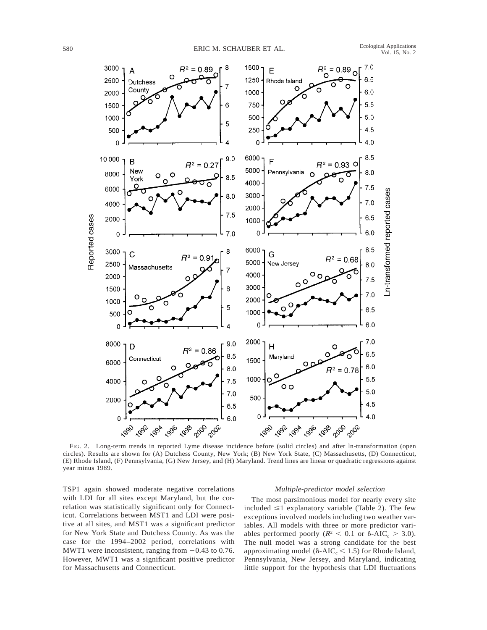

FIG. 2. Long-term trends in reported Lyme disease incidence before (solid circles) and after ln-transformation (open circles). Results are shown for (A) Dutchess County, New York; (B) New York State, (C) Massachusetts, (D) Connecticut, (E) Rhode Island, (F) Pennsylvania, (G) New Jersey, and (H) Maryland. Trend lines are linear or quadratic regressions against year minus 1989.

TSP1 again showed moderate negative correlations with LDI for all sites except Maryland, but the correlation was statistically significant only for Connecticut. Correlations between MST1 and LDI were positive at all sites, and MST1 was a significant predictor for New York State and Dutchess County. As was the case for the 1994–2002 period, correlations with MWT1 were inconsistent, ranging from  $-0.43$  to 0.76. However, MWT1 was a significant positive predictor for Massachusetts and Connecticut.

## *Multiple-predictor model selection*

The most parsimonious model for nearly every site included  $\leq$ 1 explanatory variable (Table 2). The few exceptions involved models including two weather variables. All models with three or more predictor variables performed poorly ( $R^2$  < 0.1 or  $\delta$ -AIC<sub>c</sub> > 3.0). The null model was a strong candidate for the best approximating model ( $\delta$ -AIC<sub>c</sub> < 1.5) for Rhode Island, Pennsylvania, New Jersey, and Maryland, indicating little support for the hypothesis that LDI fluctuations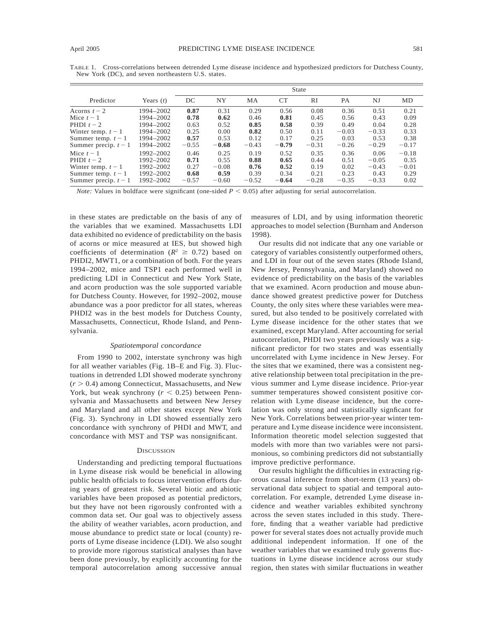| TABLE 1. Cross-correlations between detrended Lyme disease incidence and hypothesized predictors for Dutchess County, |  |  |  |  |  |
|-----------------------------------------------------------------------------------------------------------------------|--|--|--|--|--|
| New York (DC), and seven northeastern U.S. states.                                                                    |  |  |  |  |  |

|                      |             | <b>State</b> |         |         |           |                |         |         |         |
|----------------------|-------------|--------------|---------|---------|-----------|----------------|---------|---------|---------|
| Predictor            | Years $(t)$ | DC           | NY      | MA      | <b>CT</b> | R <sub>I</sub> | PA      | N.J     | MD      |
| Acorns $t-2$         | 1994–2002   | 0.87         | 0.31    | 0.29    | 0.56      | 0.08           | 0.36    | 0.51    | 0.21    |
| Mice $t-1$           | 1994–2002   | 0.78         | 0.62    | 0.46    | 0.81      | 0.45           | 0.56    | 0.43    | 0.09    |
| PHDI $t-2$           | 1994–2002   | 0.63         | 0.52    | 0.85    | 0.58      | 0.39           | 0.49    | 0.04    | 0.28    |
| Winter temp. $t-1$   | 1994-2002   | 0.25         | 0.00    | 0.82    | 0.50      | 0.11           | $-0.03$ | $-0.33$ | 0.33    |
| Summer temp. $t-1$   | 1994-2002   | 0.57         | 0.53    | 0.12    | 0.17      | 0.25           | 0.03    | 0.53    | 0.38    |
| Summer precip. $t-1$ | 1994-2002   | $-0.55$      | $-0.68$ | $-0.43$ | $-0.79$   | $-0.31$        | $-0.26$ | $-0.29$ | $-0.17$ |
| Mice $t-1$           | 1992-2002   | 0.46         | 0.25    | 0.19    | 0.52      | 0.35           | 0.36    | 0.06    | $-0.18$ |
| PHDI $t-2$           | 1992–2002   | 0.71         | 0.55    | 0.88    | 0.65      | 0.44           | 0.51    | $-0.05$ | 0.35    |
| Winter temp. $t-1$   | 1992-2002   | 0.27         | $-0.08$ | 0.76    | 0.52      | 0.19           | 0.02    | $-0.43$ | $-0.01$ |
| Summer temp. $t-1$   | 1992-2002   | 0.68         | 0.59    | 0.39    | 0.34      | 0.21           | 0.23    | 0.43    | 0.29    |
| Summer precip. $t-1$ | 1992–2002   | $-0.57$      | $-0.60$ | $-0.52$ | $-0.64$   | $-0.28$        | $-0.35$ | $-0.33$ | 0.02    |

*Note:* Values in boldface were significant (one-sided  $P < 0.05$ ) after adjusting for serial autocorrelation.

in these states are predictable on the basis of any of the variables that we examined. Massachusetts LDI data exhibited no evidence of predictability on the basis of acorns or mice measured at IES, but showed high coefficients of determination ( $R^2 \geq 0.72$ ) based on PHDI2, MWT1, or a combination of both. For the years 1994–2002, mice and TSP1 each performed well in predicting LDI in Connecticut and New York State, and acorn production was the sole supported variable for Dutchess County. However, for 1992–2002, mouse abundance was a poor predictor for all states, whereas PHDI2 was in the best models for Dutchess County, Massachusetts, Connecticut, Rhode Island, and Pennsylvania.

### *Spatiotemporal concordance*

From 1990 to 2002, interstate synchrony was high for all weather variables (Fig. 1B–E and Fig. 3). Fluctuations in detrended LDI showed moderate synchrony  $(r > 0.4)$  among Connecticut, Massachusetts, and New York, but weak synchrony  $(r < 0.25)$  between Pennsylvania and Massachusetts and between New Jersey and Maryland and all other states except New York (Fig. 3). Synchrony in LDI showed essentially zero concordance with synchrony of PHDI and MWT, and concordance with MST and TSP was nonsignificant.

### **DISCUSSION**

Understanding and predicting temporal fluctuations in Lyme disease risk would be beneficial in allowing public health officials to focus intervention efforts during years of greatest risk. Several biotic and abiotic variables have been proposed as potential predictors, but they have not been rigorously confronted with a common data set. Our goal was to objectively assess the ability of weather variables, acorn production, and mouse abundance to predict state or local (county) reports of Lyme disease incidence (LDI). We also sought to provide more rigorous statistical analyses than have been done previously, by explicitly accounting for the temporal autocorrelation among successive annual

measures of LDI, and by using information theoretic approaches to model selection (Burnham and Anderson 1998).

Our results did not indicate that any one variable or category of variables consistently outperformed others, and LDI in four out of the seven states (Rhode Island, New Jersey, Pennsylvania, and Maryland) showed no evidence of predictability on the basis of the variables that we examined. Acorn production and mouse abundance showed greatest predictive power for Dutchess County, the only sites where these variables were measured, but also tended to be positively correlated with Lyme disease incidence for the other states that we examined, except Maryland. After accounting for serial autocorrelation, PHDI two years previously was a significant predictor for two states and was essentially uncorrelated with Lyme incidence in New Jersey. For the sites that we examined, there was a consistent negative relationship between total precipitation in the previous summer and Lyme disease incidence. Prior-year summer temperatures showed consistent positive correlation with Lyme disease incidence, but the correlation was only strong and statistically signficant for New York. Correlations between prior-year winter temperature and Lyme disease incidence were inconsistent. Information theoretic model selection suggested that models with more than two variables were not parsimonious, so combining predictors did not substantially improve predictive performance.

Our results highlight the difficulties in extracting rigorous causal inference from short-term (13 years) observational data subject to spatial and temporal autocorrelation. For example, detrended Lyme disease incidence and weather variables exhibited synchrony across the seven states included in this study. Therefore, finding that a weather variable had predictive power for several states does not actually provide much additional independent information. If one of the weather variables that we examined truly governs fluctuations in Lyme disease incidence across our study region, then states with similar fluctuations in weather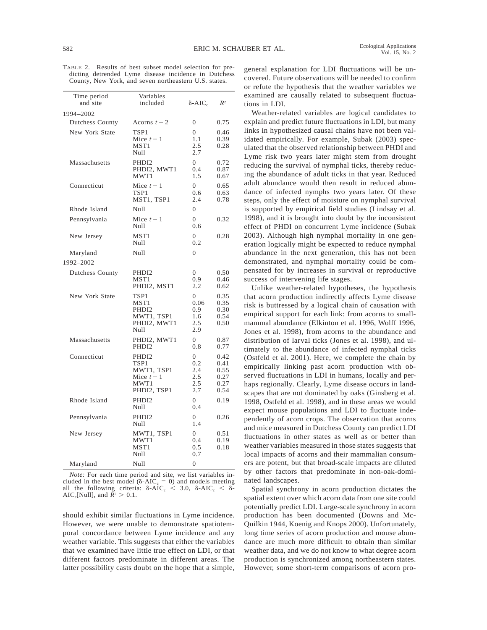|  | TABLE 2. Results of best subset model selection for pre- |  |
|--|----------------------------------------------------------|--|
|  | dicting detrended Lyme disease incidence in Dutchess     |  |
|  | County, New York, and seven northeastern U.S. states.    |  |

| Time period<br>and site | Variables<br>included                                                              | $\delta$ -AIC <sub>c</sub>                   | $R^2$                                        |
|-------------------------|------------------------------------------------------------------------------------|----------------------------------------------|----------------------------------------------|
| 1994-2002               |                                                                                    |                                              |                                              |
| Dutchess County         | Acorns $t-2$                                                                       | $\overline{0}$                               | 0.75                                         |
| New York State          | TSP1<br>Mice $t-1$<br>MST <sub>1</sub><br>Null                                     | $\Omega$<br>1.1<br>2.5<br>2.7                | 0.46<br>0.39<br>0.28                         |
| Massachusetts           | PHD <sub>I2</sub><br>PHDI2, MWT1<br>MWT1                                           | $\Omega$<br>0.4<br>1.5                       | 0.72<br>0.87<br>0.67                         |
| Connecticut             | Mice $t-1$<br>TSP1<br>MST1, TSP1                                                   | $\Omega$<br>0.6<br>2.4                       | 0.65<br>0.63<br>0.78                         |
| Rhode Island            | Null                                                                               | $\Omega$                                     |                                              |
| Pennsylvania            | Mice $t-1$<br>Null                                                                 | $\theta$<br>0.6                              | 0.32                                         |
| New Jersey              | MST <sub>1</sub><br>Null                                                           | $\overline{0}$<br>0.2                        | 0.28                                         |
| Maryland                | Null                                                                               | $\Omega$                                     |                                              |
| 1992-2002               |                                                                                    |                                              |                                              |
| Dutchess County         | PHD <sub>I2</sub><br>MST <sub>1</sub><br>PHDI2, MST1                               | $\overline{0}$<br>0.9<br>2.2                 | 0.50<br>0.46<br>0.62                         |
| New York State          | TSP1<br>MST <sub>1</sub><br>PHD <sub>I2</sub><br>MWT1, TSP1<br>PHDI2, MWT1<br>Null | $\Omega$<br>0.06<br>0.9<br>1.6<br>2.5<br>2.9 | 0.35<br>0.35<br>0.30<br>0.54<br>0.50         |
| Massachusetts           | PHDI2, MWT1<br>PHD <sub>I2</sub>                                                   | $\Omega$<br>0.8                              | 0.87<br>0.77                                 |
| Connecticut             | PHDI2<br>TSP1<br>MWT1, TSP1<br>Mice $t-1$<br>MWT1<br>PHDI2, TSP1                   | $\theta$<br>0.2<br>2.4<br>2.5<br>2.5<br>2.7  | 0.42<br>0.41<br>0.55<br>0.27<br>0.27<br>0.54 |
| Rhode Island            | PHD <sub>I2</sub><br>Null                                                          | $\Omega$<br>0.4                              | 0.19                                         |
| Pennsylvania            | PHD <sub>I2</sub><br>Null                                                          | $\Omega$<br>1.4                              | 0.26                                         |
| New Jersey              | MWT1, TSP1<br>MWT1<br>MST1<br>Null                                                 | $\Omega$<br>0.4<br>0.5<br>0.7                | 0.51<br>0.19<br>0.18                         |
| Maryland                | Null                                                                               | $\theta$                                     |                                              |

*Note:* For each time period and site, we list variables included in the best model ( $\delta$ -AIC<sub>c</sub> = 0) and models meeting all the following criteria:  $\delta$ -AIC<sub>c</sub> < 3.0,  $\delta$ -AIC<sub>c</sub> <  $\delta$ -AIC<sub>c</sub>[Null], and  $R^2 > 0.1$ .

should exhibit similar fluctuations in Lyme incidence. However, we were unable to demonstrate spatiotemporal concordance between Lyme incidence and any weather variable. This suggests that either the variables that we examined have little true effect on LDI, or that different factors predominate in different areas. The latter possibility casts doubt on the hope that a simple, general explanation for LDI fluctuations will be uncovered. Future observations will be needed to confirm or refute the hypothesis that the weather variables we examined are causally related to subsequent fluctuations in LDI.

Weather-related variables are logical candidates to explain and predict future fluctuations in LDI, but many links in hypothesized causal chains have not been validated empirically. For example, Subak (2003) speculated that the observed relationship between PHDI and Lyme risk two years later might stem from drought reducing the survival of nymphal ticks, thereby reducing the abundance of adult ticks in that year. Reduced adult abundance would then result in reduced abundance of infected nymphs two years later. Of these steps, only the effect of moisture on nymphal survival is supported by empirical field studies (Lindsay et al. 1998), and it is brought into doubt by the inconsistent effect of PHDI on concurrent Lyme incidence (Subak 2003). Although high nymphal mortality in one generation logically might be expected to reduce nymphal abundance in the next generation, this has not been demonstrated, and nymphal mortality could be compensated for by increases in survival or reproductive success of intervening life stages.

Unlike weather-related hypotheses, the hypothesis that acorn production indirectly affects Lyme disease risk is buttressed by a logical chain of causation with empirical support for each link: from acorns to smallmammal abundance (Elkinton et al. 1996, Wolff 1996, Jones et al. 1998), from acorns to the abundance and distribution of larval ticks (Jones et al. 1998), and ultimately to the abundance of infected nymphal ticks (Ostfeld et al. 2001). Here, we complete the chain by empirically linking past acorn production with observed fluctuations in LDI in humans, locally and perhaps regionally. Clearly, Lyme disease occurs in landscapes that are not dominated by oaks (Ginsberg et al. 1998, Ostfeld et al. 1998), and in these areas we would expect mouse populations and LDI to fluctuate independently of acorn crops. The observation that acorns and mice measured in Dutchess County can predict LDI fluctuations in other states as well as or better than weather variables measured in those states suggests that local impacts of acorns and their mammalian consumers are potent, but that broad-scale impacts are diluted by other factors that predominate in non-oak-dominated landscapes.

Spatial synchrony in acorn production dictates the spatial extent over which acorn data from one site could potentially predict LDI. Large-scale synchrony in acorn production has been documented (Downs and Mc-Quilkin 1944, Koenig and Knops 2000). Unfortunately, long time series of acorn production and mouse abundance are much more difficult to obtain than similar weather data, and we do not know to what degree acorn production is synchronized among northeastern states. However, some short-term comparisons of acorn pro-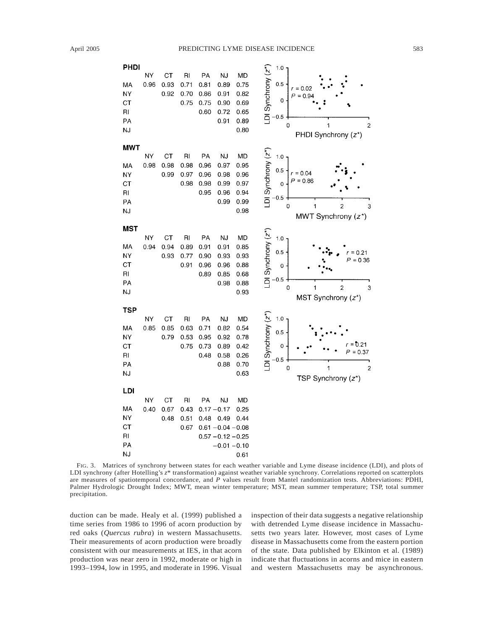

FIG. 3. Matrices of synchrony between states for each weather variable and Lyme disease incidence (LDI), and plots of LDI synchrony (after Hotelling's *z*\* transformation) against weather variable synchrony. Correlations reported on scatterplots are measures of spatiotemporal concordance, and *P* values result from Mantel randomization tests. Abbreviations: PDHI, Palmer Hydrologic Drought Index; MWT, mean winter temperature; MST, mean summer temperature; TSP, total summer precipitation.

duction can be made. Healy et al. (1999) published a time series from 1986 to 1996 of acorn production by red oaks (*Quercus rubra*) in western Massachusetts. Their measurements of acorn production were broadly consistent with our measurements at IES, in that acorn production was near zero in 1992, moderate or high in 1993–1994, low in 1995, and moderate in 1996. Visual

inspection of their data suggests a negative relationship with detrended Lyme disease incidence in Massachusetts two years later. However, most cases of Lyme disease in Massachusetts come from the eastern portion of the state. Data published by Elkinton et al. (1989) indicate that fluctuations in acorns and mice in eastern and western Massachusetts may be asynchronous.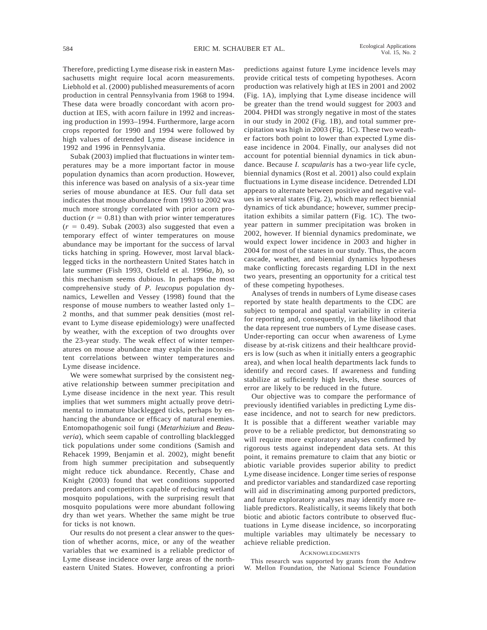Therefore, predicting Lyme disease risk in eastern Massachusetts might require local acorn measurements. Liebhold et al. (2000) published measurements of acorn production in central Pennsylvania from 1968 to 1994. These data were broadly concordant with acorn production at IES, with acorn failure in 1992 and increasing production in 1993–1994. Furthermore, large acorn crops reported for 1990 and 1994 were followed by high values of detrended Lyme disease incidence in 1992 and 1996 in Pennsylvania.

Subak (2003) implied that fluctuations in winter temperatures may be a more important factor in mouse population dynamics than acorn production. However, this inference was based on analysis of a six-year time series of mouse abundance at IES. Our full data set indicates that mouse abundance from 1993 to 2002 was much more strongly correlated with prior acorn production  $(r = 0.81)$  than with prior winter temperatures  $(r = 0.49)$ . Subak (2003) also suggested that even a temporary effect of winter temperatures on mouse abundance may be important for the success of larval ticks hatching in spring. However, most larval blacklegged ticks in the northeastern United States hatch in late summer (Fish 1993, Ostfeld et al. 1996*a*, *b*), so this mechanism seems dubious. In perhaps the most comprehensive study of *P. leucopus* population dynamics, Lewellen and Vessey (1998) found that the response of mouse numbers to weather lasted only 1– 2 months, and that summer peak densities (most relevant to Lyme disease epidemiology) were unaffected by weather, with the exception of two droughts over the 23-year study. The weak effect of winter temperatures on mouse abundance may explain the inconsistent correlations between winter temperatures and Lyme disease incidence.

We were somewhat surprised by the consistent negative relationship between summer precipitation and Lyme disease incidence in the next year. This result implies that wet summers might actually prove detrimental to immature blacklegged ticks, perhaps by enhancing the abundance or efficacy of natural enemies. Entomopathogenic soil fungi (*Metarhizium* and *Beauveria*), which seem capable of controlling blacklegged tick populations under some conditions (Samish and Rehacek 1999, Benjamin et al. 2002), might benefit from high summer precipitation and subsequently might reduce tick abundance. Recently, Chase and Knight (2003) found that wet conditions supported predators and competitors capable of reducing wetland mosquito populations, with the surprising result that mosquito populations were more abundant following dry than wet years. Whether the same might be true for ticks is not known.

Our results do not present a clear answer to the question of whether acorns, mice, or any of the weather variables that we examined is a reliable predictor of Lyme disease incidence over large areas of the northeastern United States. However, confronting a priori predictions against future Lyme incidence levels may provide critical tests of competing hypotheses. Acorn production was relatively high at IES in 2001 and 2002 (Fig. 1A), implying that Lyme disease incidence will be greater than the trend would suggest for 2003 and 2004. PHDI was strongly negative in most of the states in our study in 2002 (Fig. 1B), and total summer precipitation was high in 2003 (Fig. 1C). These two weather factors both point to lower than expected Lyme disease incidence in 2004. Finally, our analyses did not account for potential biennial dynamics in tick abundance. Because *I. scapularis* has a two-year life cycle, biennial dynamics (Rost et al. 2001) also could explain fluctuations in Lyme disease incidence. Detrended LDI appears to alternate between positive and negative values in several states (Fig. 2), which may reflect biennial dynamics of tick abundance; however, summer precipitation exhibits a similar pattern (Fig. 1C). The twoyear pattern in summer precipitation was broken in 2002, however. If biennial dynamics predominate, we would expect lower incidence in 2003 and higher in 2004 for most of the states in our study. Thus, the acorn cascade, weather, and biennial dynamics hypotheses make conflicting forecasts regarding LDI in the next two years, presenting an opportunity for a critical test of these competing hypotheses.

Analyses of trends in numbers of Lyme disease cases reported by state health departments to the CDC are subject to temporal and spatial variability in criteria for reporting and, consequently, in the likelihood that the data represent true numbers of Lyme disease cases. Under-reporting can occur when awareness of Lyme disease by at-risk citizens and their healthcare providers is low (such as when it initially enters a geographic area), and when local health departments lack funds to identify and record cases. If awareness and funding stabilize at sufficiently high levels, these sources of error are likely to be reduced in the future.

Our objective was to compare the performance of previously identified variables in predicting Lyme disease incidence, and not to search for new predictors. It is possible that a different weather variable may prove to be a reliable predictor, but demonstrating so will require more exploratory analyses confirmed by rigorous tests against independent data sets. At this point, it remains premature to claim that any biotic or abiotic variable provides superior ability to predict Lyme disease incidence. Longer time series of response and predictor variables and standardized case reporting will aid in discriminating among purported predictors, and future exploratory analyses may identify more reliable predictors. Realistically, it seems likely that both biotic and abiotic factors contribute to observed fluctuations in Lyme disease incidence, so incorporating multiple variables may ultimately be necessary to achieve reliable prediction.

### ACKNOWLEDGMENTS

This research was supported by grants from the Andrew W. Mellon Foundation, the National Science Foundation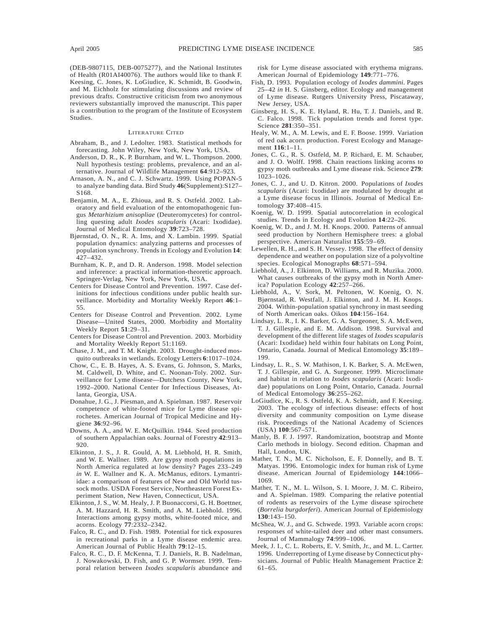(DEB-9807115, DEB-0075277), and the National Institutes of Health (R01AI40076). The authors would like to thank F. Keesing, C. Jones, K. LoGiudice, K. Schmidt, B. Goodwin, and M. Eichholz for stimulating discussions and review of previous drafts. Constructive criticism from two anonymous reviewers substantially improved the manuscript. This paper is a contribution to the program of the Institute of Ecosystem Studies.

### LITERATURE CITED

- Abraham, B., and J. Ledolter. 1983. Statistical methods for forecasting. John Wiley, New York, New York, USA.
- Anderson, D. R., K. P. Burnham, and W. L. Thompson. 2000. Null hypothesis testing: problems, prevalence, and an alternative. Journal of Wildlife Management **64**:912–923.
- Arnason, A. N., and C. J. Schwartz. 1999. Using POPAN-5 to analyze banding data. Bird Study **46**(Supplement):S127– S168.
- Benjamin, M. A., E. Zhioua, and R. S. Ostfeld. 2002. Laboratory and field evaluation of the entomopathogenic fungus *Metarhizium anisopliae* (Deuteromycetes) for controlling questing adult *Ixodes scapularis* (Acari: Ixodidae). Journal of Medical Entomology **39**:723–728.
- Bjørnstad, O. N., R. A. Ims, and X. Lambin. 1999. Spatial population dynamics: analyzing patterns and processes of population synchrony. Trends in Ecology and Evolution **14**: 427–432.
- Burnham, K. P., and D. R. Anderson. 1998. Model selection and inference: a practical information-theoretic approach. Springer-Verlag, New York, New York, USA.
- Centers for Disease Control and Prevention. 1997. Case definitions for infectious conditions under public health surveillance. Morbidity and Mortality Weekly Report **46**:1– 55.
- Centers for Disease Control and Prevention. 2002. Lyme Disease—United States, 2000. Morbidity and Mortality Weekly Report **51**:29–31.
- Centers for Disease Control and Prevention. 2003. Morbidity and Mortality Weekly Report 51:1169.
- Chase, J. M., and T. M. Knight. 2003. Drought-induced mosquito outbreaks in wetlands. Ecology Letters **6**:1017–1024.
- Chow, C., E. B. Hayes, A. S. Evans, G. Johnson, S. Marks, M. Caldwell, D. White, and C. Noonan-Toly. 2002. Surveillance for Lyme disease—Dutchess County, New York, 1992–2000. National Center for Infectious Diseases, Atlanta, Georgia, USA.
- Donahue, J. G., J. Piesman, and A. Spielman. 1987. Reservoir competence of white-footed mice for Lyme disease spirochetes. American Journal of Tropical Medicine and Hygiene **36**:92–96.
- Downs, A. A., and W. E. McQuilkin. 1944. Seed production of southern Appalachian oaks. Journal of Forestry **42**:913– 920.
- Elkinton, J. S., J. R. Gould, A. M. Liebhold, H. R. Smith, and W. E. Wallner. 1989. Are gypsy moth populations in North America regulated at low density? Pages 233–249 *in* W. E. Wallner and K. A. McManus, editors. Lymantriidae: a comparison of features of New and Old World tussock moths. USDA Forest Service, Northeastern Forest Experiment Station, New Haven, Connecticut, USA.
- Elkinton, J. S., W. M. Healy, J. P. Buonaccorsi, G. H. Boettner, A. M. Hazzard, H. R. Smith, and A. M. Liebhold. 1996. Interactions among gypsy moths, white-footed mice, and acorns. Ecology **77**:2332–2342.
- Falco, R. C., and D. Fish. 1989. Potential for tick exposures in recreational parks in a Lyme disease endemic area. American Journal of Public Health **79**:12–15.
- Falco, R. C., D. F. McKenna, T. J. Daniels, R. B. Nadelman, J. Nowakowski, D. Fish, and G. P. Wormser. 1999. Temporal relation between *Ixodes scapularis* abundance and

risk for Lyme disease associated with erythema migrans. American Journal of Epidemiology **149**:771–776.

- Fish, D. 1993. Population ecology of *Ixodes dammini*. Pages 25–42 *in* H. S. Ginsberg, editor. Ecology and management of Lyme disease. Rutgers University Press, Piscataway, New Jersey, USA.
- Ginsberg, H. S., K. E. Hyland, R. Hu, T. J. Daniels, and R. C. Falco. 1998. Tick population trends and forest type. Science **281**:350–351.
- Healy, W. M., A. M. Lewis, and E. F. Boose. 1999. Variation of red oak acorn production. Forest Ecology and Management **116**:1–11.
- Jones, C. G., R. S. Ostfeld, M. P. Richard, E. M. Schauber, and J. O. Wolff. 1998. Chain reactions linking acorns to gypsy moth outbreaks and Lyme disease risk. Science **279**: 1023–1026.
- Jones, C. J., and U. D. Kitron. 2000. Populations of *Ixodes scapularis* (Acari: Ixodidae) are modulated by drought at a Lyme disease focus in Illinois. Journal of Medical Entomology **37**:408–415.
- Koenig, W. D. 1999. Spatial autocorrelation in ecological studies. Trends in Ecology and Evolution **14**:22–26.
- Koenig, W. D., and J. M. H. Knops. 2000. Patterns of annual seed production by Northern Hemisphere trees: a global perspective. American Naturalist **155**:59–69.
- Lewellen, R. H., and S. H. Vessey. 1998. The effect of density dependence and weather on population size of a polyvoltine species. Ecological Monographs **68**:571–594.
- Liebhold, A., J. Elkinton, D. Williams, and R. Muzika. 2000. What causes outbreaks of the gypsy moth in North America? Population Ecology **42**:257–266.
- Liebhold, A., V. Sork, M. Peltonen, W. Koenig, O. N. Bjørnstad, R. Westfall, J. Elkinton, and J. M. H. Knops. 2004. Within-population spatial synchrony in mast seeding of North American oaks. Oikos **104**:156–164.
- Lindsay, L. R., I. K. Barker, G. A. Surgeoner, S. A. McEwen, T. J. Gillespie, and E. M. Addison. 1998. Survival and development of the different life stages of *Ixodes scapularis* (Acari: Ixodidae) held within four habitats on Long Point, Ontario, Canada. Journal of Medical Entomology **35**:189– 199.
- Lindsay, L. R., S. W. Mathison, I. K. Barker, S. A. McEwen, T. J. Gillespie, and G. A. Surgeoner. 1999. Microclimate and habitat in relation to *Ixodes scapularis* (Acari: Ixodidae) populations on Long Point, Ontario, Canada. Journal of Medical Entomology **36**:255–262.
- LoGiudice, K., R. S. Ostfeld, K. A. Schmidt, and F. Keesing. 2003. The ecology of infectious disease: effects of host diversity and community composition on Lyme disease risk. Proceedings of the National Academy of Sciences (USA) **100**:567–571.
- Manly, B. F. J. 1997. Randomization, bootstrap and Monte Carlo methods in biology. Second edition. Chapman and Hall, London, UK.
- Mather, T. N., M. C. Nicholson, E. F. Donnelly, and B. T. Matyas. 1996. Entomologic index for human risk of Lyme disease. American Journal of Epidemiology **144**:1066– 1069.
- Mather, T. N., M. L. Wilson, S. I. Moore, J. M. C. Ribeiro, and A. Spielman. 1989. Comparing the relative potential of rodents as reservoirs of the Lyme disease spirochete (*Borrelia burgdorferi*). American Journal of Epidemiology **130**:143–150.
- McShea, W. J., and G. Schwede. 1993. Variable acorn crops: responses of white-tailed deer and other mast consumers. Journal of Mammalogy **74**:999–1006.
- Meek, J. I., C. L. Roberts, E. V. Smith, Jr., and M. L. Cartter. 1996. Underreporting of Lyme disease by Connecticut physicians. Journal of Public Health Management Practice **2**: 61–65.